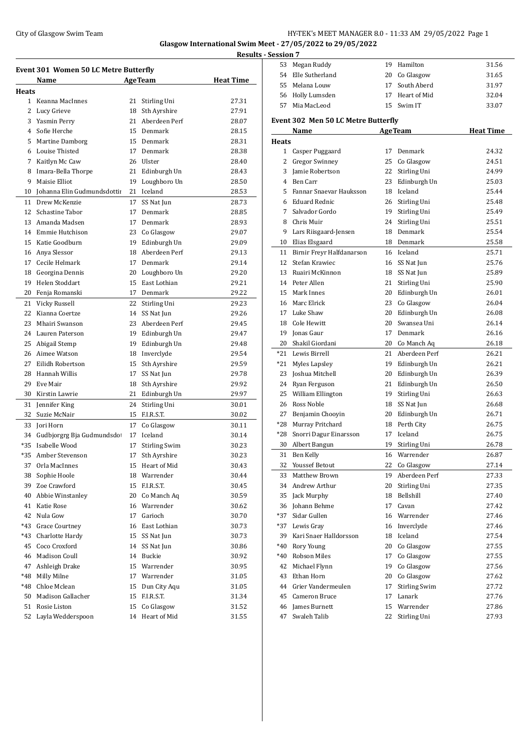## City of Glasgow Swim Team Team Feam Fermion States of the HY-TEK's MEET MANAGER 8.0 - 11:33 AM 29/05/2022 Page 1

**Glasgow International Swim Meet - 27/05/2022 to 29/05/2022 Results - Session 7**

| Event 301 Women 50 LC Metre Butterfly |                             |                  |                      |       |  |  |  |
|---------------------------------------|-----------------------------|------------------|----------------------|-------|--|--|--|
|                                       | Name                        | <b>Heat Time</b> |                      |       |  |  |  |
| Heats                                 |                             |                  |                      |       |  |  |  |
| $\mathbf{1}$                          | Keanna MacInnes             | 21               | Stirling Uni         | 27.31 |  |  |  |
| 2                                     | Lucy Grieve                 | 18               | Sth Ayrshire         | 27.91 |  |  |  |
| 3                                     | Yasmin Perry                | 21               | Aberdeen Perf        | 28.07 |  |  |  |
| 4                                     | Sofie Herche                | 15               | Denmark              | 28.15 |  |  |  |
| 5                                     | Martine Damborg             | 15               | Denmark              | 28.31 |  |  |  |
| 6                                     | Louise Thisted              | 17               | Denmark              | 28.38 |  |  |  |
| 7                                     | Kaitlyn Mc Caw              | 26               | Ulster               | 28.40 |  |  |  |
| 8                                     | Imara-Bella Thorpe          |                  | 21 Edinburgh Un      | 28.43 |  |  |  |
| 9                                     | Maisie Elliot               | 19               | Loughboro Un         | 28.50 |  |  |  |
| 10                                    | Johanna Elin Gudmundsdottii | 21               | Iceland              | 28.53 |  |  |  |
| 11                                    | Drew McKenzie               | 17               | SS Nat Jun           | 28.73 |  |  |  |
| 12                                    | Schastine Tabor             | 17               | Denmark              | 28.85 |  |  |  |
| 13                                    | Amanda Madsen               | 17               | Denmark              | 28.93 |  |  |  |
| 14                                    | Emmie Hutchison             | 23               | Co Glasgow           | 29.07 |  |  |  |
| 15                                    | Katie Goodburn              | 19               | Edinburgh Un         | 29.09 |  |  |  |
| 16                                    | Anya Slessor                | 18               | Aberdeen Perf        | 29.13 |  |  |  |
| 17                                    | Cecile Helmark              | 17               | Denmark              | 29.14 |  |  |  |
| 18                                    | Georgina Dennis             | 20               | Loughboro Un         | 29.20 |  |  |  |
| 19                                    | Helen Stoddart              | 15               | East Lothian         | 29.21 |  |  |  |
| 20                                    | Fenja Romanski              | 17               | Denmark              | 29.22 |  |  |  |
| 21                                    | Vicky Russell               | 22               | Stirling Uni         | 29.23 |  |  |  |
| 22                                    | Kianna Coertze              | 14               | SS Nat Jun           | 29.26 |  |  |  |
| 23                                    | Mhairi Swanson              | 23               | Aberdeen Perf        | 29.45 |  |  |  |
| 24                                    | Lauren Paterson             |                  | 19 Edinburgh Un      | 29.47 |  |  |  |
| 25                                    | Abigail Stemp               |                  | 19 Edinburgh Un      | 29.48 |  |  |  |
| 26                                    | Aimee Watson                | 18               | Inverclyde           | 29.54 |  |  |  |
| 27                                    | Eilidh Robertson            | 15               | Sth Ayrshire         | 29.59 |  |  |  |
| 28                                    | Hannah Willis               | 17               | SS Nat Jun           | 29.78 |  |  |  |
| 29                                    | Eve Mair                    | 18               | Sth Ayrshire         | 29.92 |  |  |  |
| 30                                    | Kirstin Lawrie              | 21               | Edinburgh Un         | 29.97 |  |  |  |
| 31                                    | Jennifer King               | 24               | Stirling Uni         | 30.01 |  |  |  |
| 32                                    | Suzie McNair                | 15               | F.I.R.S.T.           | 30.02 |  |  |  |
| 33                                    | Jori Horn                   | 17               | Co Glasgow           | 30.11 |  |  |  |
| 34                                    | Gudbjorgrg Bja Gudmundsdot  | 17               | Iceland              | 30.14 |  |  |  |
| *35                                   | Isabelle Wood               | 17               | <b>Stirling Swim</b> | 30.23 |  |  |  |
| *35                                   | Amber Stevenson             | 17               | Sth Ayrshire         | 30.23 |  |  |  |
| 37                                    | Orla MacInnes               | 15               | Heart of Mid         | 30.43 |  |  |  |
| 38                                    | Sophie Hoole                |                  | 18 Warrender         | 30.44 |  |  |  |
| 39                                    | Zoe Crawford                | 15               | F.I.R.S.T.           | 30.45 |  |  |  |
| 40                                    | Abbie Winstanley            |                  | 20 Co Manch Aq       | 30.59 |  |  |  |
| 41                                    | Katie Rose                  |                  | 16 Warrender         | 30.62 |  |  |  |
| 42                                    | Nula Gow                    | 17               | Garioch              | 30.70 |  |  |  |
| *43                                   | <b>Grace Courtney</b>       |                  | 16 East Lothian      | 30.73 |  |  |  |
| *43                                   | Charlotte Hardy             | 15               | SS Nat Jun           | 30.73 |  |  |  |
| 45                                    | Coco Croxford               | 14               | SS Nat Jun           | 30.86 |  |  |  |
| 46                                    | <b>Madison Coull</b>        |                  | 14 Buckie            | 30.92 |  |  |  |
| 47                                    | Ashleigh Drake              |                  | 15 Warrender         | 30.95 |  |  |  |
| *48                                   | Milly Milne                 |                  | 17 Warrender         | 31.05 |  |  |  |
| *48                                   | Chloe Mclean                | 15               | Dun City Aqu         | 31.05 |  |  |  |
| 50                                    | Madison Gallacher           | 15               | F.I.R.S.T.           | 31.34 |  |  |  |
| 51                                    | Rosie Liston                | 15               | Co Glasgow           | 31.52 |  |  |  |
| 52                                    | Layla Wedderspoon           |                  | 14 Heart of Mid      | 31.55 |  |  |  |
|                                       |                             |                  |                      |       |  |  |  |

| <u>session 7</u> |                                     |    |                      |                  |
|------------------|-------------------------------------|----|----------------------|------------------|
| 53               | Megan Ruddy                         |    | 19 Hamilton          | 31.56            |
| 54               | Elle Sutherland                     | 20 | Co Glasgow           | 31.65            |
| 55               | Melana Louw                         | 17 | South Aberd          | 31.97            |
|                  | 56 Holly Lumsden                    |    | 17 Heart of Mid      | 32.04            |
| 57               | Mia MacLeod                         |    | 15 Swim IT           | 33.07            |
|                  |                                     |    |                      |                  |
|                  | Event 302 Men 50 LC Metre Butterfly |    |                      |                  |
|                  | Name                                |    | <b>AgeTeam</b>       | <b>Heat Time</b> |
| <b>Heats</b>     |                                     |    |                      |                  |
|                  | 1 Casper Puggaard                   | 17 | Denmark              | 24.32            |
|                  | 2 Gregor Swinney                    | 25 | Co Glasgow           | 24.51            |
| 3                | Jamie Robertson                     | 22 | Stirling Uni         | 24.99            |
| 4                | Ben Carr                            | 23 | Edinburgh Un         | 25.03            |
| 5.               | Fannar Snaevar Hauksson             |    | 18 Iceland           | 25.44            |
|                  | 6 Eduard Rednic                     |    | 26 Stirling Uni      | 25.48            |
| 7                | Salvador Gordo                      |    | 19 Stirling Uni      | 25.49            |
| 8                | Chris Muir                          |    | 24 Stirling Uni      | 25.51            |
| 9                | Lars Riisgaard-Jensen               |    | 18 Denmark           | 25.54            |
|                  | 10 Elias Elsgaard                   |    | 18 Denmark           | 25.58            |
| 11               | Birnir Freyr Halfdanarson           |    | 16 Iceland           | 25.71            |
| 12               | Stefan Krawiec                      |    | 16 SS Nat Jun        | 25.76            |
| 13               | Ruairi McKinnon                     |    | 18 SS Nat Jun        | 25.89            |
| 14               | Peter Allen                         | 21 | Stirling Uni         | 25.90            |
| 15               | Mark Innes                          |    | 20 Edinburgh Un      | 26.01            |
|                  | 16 Marc Elrick                      |    | 23 Co Glasgow        | 26.04            |
| 17               | Luke Shaw                           |    | 20 Edinburgh Un      | 26.08            |
|                  | 18 Cole Hewitt                      |    | 20 Swansea Uni       | 26.14            |
|                  | 19 Jonas Gaur                       |    | 17 Denmark           | 26.16            |
|                  | 20 Shakil Giordani                  |    | 20 Co Manch Aq       | 26.18            |
| $*21$            | Lewis Birrell                       |    | 21 Aberdeen Perf     | 26.21            |
| $*21$            | Myles Lapsley                       |    | 19 Edinburgh Un      | 26.21            |
| 23               | Joshua Mitchell                     |    | 20 Edinburgh Un      | 26.39            |
|                  | 24 Ryan Ferguson                    |    | 21 Edinburgh Un      | 26.50            |
| 25               | William Ellington                   | 19 | Stirling Uni         | 26.63            |
|                  | 26 Ross Noble                       |    | 18 SS Nat Jun        | 26.68            |
| 27               | Benjamin Chooyin                    |    | 20 Edinburgh Un      | 26.71            |
|                  | *28 Murray Pritchard                | 18 | Perth City           | 26.75            |
|                  | *28 Snorri Dagur Einarsson          | 17 | Iceland              | 26.75            |
| 30               | Albert Bangun                       | 19 | Stirling Uni         | 26.78            |
| 31               | Ben Kelly                           | 16 | Warrender            | 26.87            |
| 32               | <b>Youssef Betout</b>               | 22 | Co Glasgow           | 27.14            |
| 33               | <b>Matthew Brown</b>                | 19 | Aberdeen Perf        | 27.33            |
| 34               | Andrew Arthur                       | 20 | Stirling Uni         | 27.35            |
| 35               | Jack Murphy                         | 18 | Bellshill            | 27.40            |
| 36               | Johann Behme                        | 17 | Cavan                | 27.42            |
| *37              | Sidar Gullen                        |    | 16 Warrender         | 27.46            |
| *37              | Lewis Gray                          | 16 | Inverclyde           | 27.46            |
| 39               | Kari Snaer Halldorsson              | 18 | Iceland              | 27.54            |
| *40              | Rory Young                          | 20 | Co Glasgow           | 27.55            |
| $*40$            | Robson Miles                        | 17 | Co Glasgow           | 27.55            |
| 42               | Michael Flynn                       | 19 | Co Glasgow           | 27.56            |
| 43               | Ethan Horn                          | 20 | Co Glasgow           | 27.62            |
| 44               | Grier Vandermeulen                  | 17 | <b>Stirling Swim</b> | 27.72            |
| 45               | Cameron Bruce                       | 17 | Lanark               | 27.76            |
| 46               | James Burnett                       | 15 | Warrender            | 27.86            |
| 47               | Swaleh Talib                        | 22 | Stirling Uni         | 27.93            |
|                  |                                     |    |                      |                  |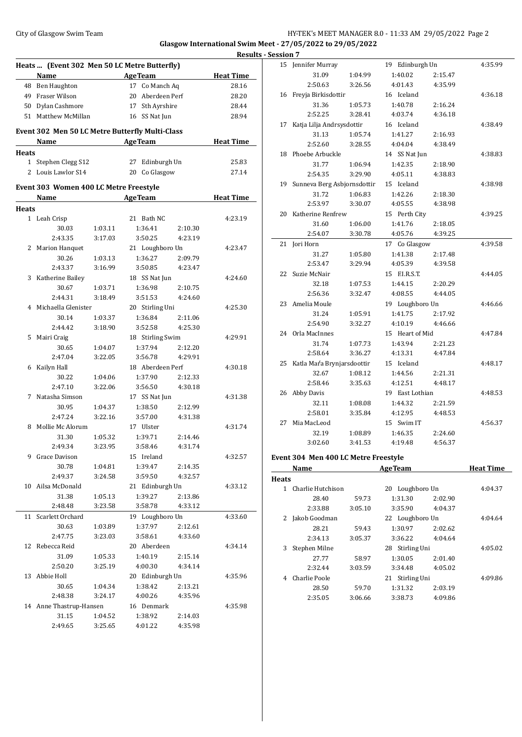## City of Glasgow Swim Team **HY-TEK's MEET MANAGER 8.0 - 11:33 AM 29/05/2022** Page 2 **Glasgow International Swim Meet - 27/05/2022 to 29/05/2022**

|              |                                                 |         |                                  |         | <b>Result</b>    |
|--------------|-------------------------------------------------|---------|----------------------------------|---------|------------------|
|              | Heats  (Event 302 Men 50 LC Metre Butterfly)    |         |                                  |         |                  |
|              | Name AgeTeam                                    |         |                                  |         | <b>Heat Time</b> |
|              | 48 Ben Haughton                                 |         | 17 Co Manch Aq                   |         | 28.16            |
|              | 49 Fraser Wilson                                |         | 20 Aberdeen Perf                 |         | 28.20            |
|              | 50 Dylan Cashmore                               |         | 17 Sth Ayrshire                  |         | 28.44            |
|              | 51 Matthew McMillan                             |         | 16 SS Nat Jun                    |         | 28.94            |
|              | Event 302 Men 50 LC Metre Butterfly Multi-Class |         |                                  |         |                  |
|              | Name                                            |         | <b>AgeTeam</b>                   |         | <b>Heat Time</b> |
| <b>Heats</b> |                                                 |         |                                  |         |                  |
|              | 1 Stephen Clegg S12<br>2 Louis Lawlor S14       |         | 27 Edinburgh Un<br>20 Co Glasgow |         | 25.83<br>27.14   |
|              |                                                 |         |                                  |         |                  |
|              | Event 303 Women 400 LC Metre Freestyle          |         |                                  |         |                  |
|              | Name AgeTeam                                    |         |                                  |         | <b>Heat Time</b> |
| Heats        |                                                 |         |                                  |         |                  |
|              | 1 Leah Crisp                                    |         | 21 Bath NC                       |         | 4:23.19          |
|              | 30.03                                           | 1:03.11 | 1:36.41                          | 2:10.30 |                  |
|              | 2:43.35                                         | 3:17.03 | 3:50.25                          | 4:23.19 |                  |
|              | 2 Marion Hanquet                                |         | 21 Loughboro Un                  |         | 4:23.47          |
|              | 30.26                                           | 1:03.13 | 1:36.27                          | 2:09.79 |                  |
|              | 2:43.37                                         | 3:16.99 | 3:50.85                          | 4:23.47 |                  |
|              | 3 Katherine Bailey                              |         | 18 SS Nat Jun                    |         | 4:24.60          |
|              | 30.67                                           | 1:03.71 | 1:36.98                          | 2:10.75 |                  |
|              | 2:44.31                                         | 3:18.49 | 3:51.53                          | 4:24.60 |                  |
|              | 4 Michaella Glenister                           |         | 20 Stirling Uni                  |         | 4:25.30          |
|              | 30.14                                           | 1:03.37 | 1:36.84                          | 2:11.06 |                  |
|              | 2:44.42                                         | 3:18.90 | 3:52.58                          | 4:25.30 |                  |
| 5            | Mairi Craig                                     |         | 18 Stirling Swim                 |         | 4:29.91          |
|              | 30.65                                           | 1:04.07 | 1:37.94                          | 2:12.20 |                  |
|              | 2:47.04                                         | 3:22.05 | 3:56.78                          | 4:29.91 |                  |
|              | 6 Kailyn Hall                                   |         | 18 Aberdeen Perf                 |         | 4:30.18          |
|              | 30.22                                           | 1:04.06 | 1:37.90                          | 2:12.33 |                  |
|              | 2:47.10                                         | 3:22.06 | 3:56.50                          | 4:30.18 |                  |
|              | 7 Natasha Simson                                |         |                                  |         |                  |
|              |                                                 | 1:04.37 | 17 SS Nat Jun                    |         | 4:31.38          |
|              | 30.95<br>2:47.24                                |         | 1:38.50                          | 2:12.99 |                  |
|              |                                                 | 3:22.16 | 3:57.00                          | 4:31.38 |                  |
| 8            | Mollie Mc Alorum                                |         | 17 Ulster                        |         | 4:31.74          |
|              | 31.30                                           | 1:05.32 | 1:39.71                          | 2:14.46 |                  |
|              | 2:49.34                                         | 3:23.95 | 3:58.46                          | 4:31.74 |                  |
|              | 9 Grace Davison                                 |         | 15 Ireland                       |         | 4:32.57          |
|              | 30.78                                           | 1:04.81 | 1:39.47                          | 2:14.35 |                  |
|              | 2:49.37                                         | 3:24.58 | 3:59.50                          | 4:32.57 |                  |
|              | 10 Ailsa McDonald                               |         | 21 Edinburgh Un                  |         | 4:33.12          |
|              | 31.38                                           | 1:05.13 | 1:39.27                          | 2:13.86 |                  |
|              | 2:48.48                                         | 3:23.58 | 3:58.78                          | 4:33.12 |                  |
| 11           | Scarlett Orchard                                |         | 19 Loughboro Un                  |         | 4:33.60          |
|              | 30.63                                           | 1:03.89 | 1:37.97                          | 2:12.61 |                  |
|              | 2:47.75                                         | 3:23.03 | 3:58.61                          | 4:33.60 |                  |
| 12           | Rebecca Reid                                    |         | 20 Aberdeen                      |         | 4:34.14          |
|              | 31.09                                           | 1:05.33 | 1:40.19                          | 2:15.14 |                  |
|              | 2:50.20                                         | 3:25.19 | 4:00.30                          | 4:34.14 |                  |
| 13           | Abbie Holl                                      |         | 20 Edinburgh Un                  |         | 4:35.96          |
|              | 30.65                                           | 1:04.34 | 1:38.42                          | 2:13.21 |                  |
|              | 2:48.38                                         | 3:24.17 | 4:00.26                          | 4:35.96 |                  |
|              | 14 Anne Thastrup-Hansen                         |         | 16 Denmark                       |         | 4:35.98          |
|              | 31.15                                           | 1:04.52 | 1:38.92                          | 2:14.03 |                  |
|              | 2:49.65                                         | 3:25.65 | 4:01.22                          | 4:35.98 |                  |
|              |                                                 |         |                                  |         |                  |

|            | <b>Results - Session 7</b> |                                       |         |                 |         |         |
|------------|----------------------------|---------------------------------------|---------|-----------------|---------|---------|
|            |                            | 15 Jennifer Murray                    |         | 19 Edinburgh Un |         | 4:35.99 |
| ime        |                            | 31.09                                 | 1:04.99 | 1:40.02         | 2:15.47 |         |
| 3.16       |                            | 2:50.63                               | 3:26.56 | 4:01.43         | 4:35.99 |         |
| 3.20       |                            | 16 Freyja Birkisdottir                |         | 16 Iceland      |         | 4:36.18 |
| 3.44       |                            | 31.36                                 | 1:05.73 | 1:40.78         | 2:16.24 |         |
| 3.94       |                            | 2:52.25                               | 3:28.41 | 4:03.74         | 4:36.18 |         |
|            | 17                         | Katja Lilja Andrsysdottir             |         | 16 Iceland      |         | 4:38.49 |
|            |                            | 31.13                                 | 1:05.74 | 1:41.27         | 2:16.93 |         |
| ime        |                            | 2:52.60                               | 3:28.55 | 4:04.04         | 4:38.49 |         |
|            |                            | 18 Phoebe Arbuckle                    |         | 14 SS Nat Jun   |         | 4:38.83 |
| 5.83       |                            | 31.77                                 | 1:06.94 | 1:42.35         | 2:18.90 |         |
| 7.14       |                            | 2:54.35                               | 3:29.90 | 4:05.11         | 4:38.83 |         |
|            |                            | 19 Sunneva Berg Asbjornsdottir        |         | 15 Iceland      |         | 4:38.98 |
|            |                            | 31.72                                 | 1:06.83 | 1:42.26         | 2:18.30 |         |
| ime        |                            | 2:53.97                               | 3:30.07 | 4:05.55         | 4:38.98 |         |
|            |                            | 20 Katherine Renfrew                  |         | 15 Perth City   |         | 4:39.25 |
| 3.19       |                            | 31.60                                 | 1:06.00 | 1:41.76         | 2:18.05 |         |
|            |                            | 2:54.07                               | 3:30.78 | 4:05.76         | 4:39.25 |         |
|            |                            | 21 Jori Horn                          |         | 17 Co Glasgow   |         | 4:39.58 |
| 3.47       |                            | 31.27                                 | 1:05.80 | 1:41.38         | 2:17.48 |         |
|            |                            | 2:53.47                               | 3:29.94 | 4:05.39         | 4:39.58 |         |
|            |                            | 22 Suzie McNair                       |         | 15 F.I.R.S.T.   |         | 4:44.05 |
| <b>L60</b> |                            | 32.18                                 | 1:07.53 | 1:44.15         | 2:20.29 |         |
|            |                            | 2:56.36                               | 3:32.47 | 4:08.55         | 4:44.05 |         |
|            |                            | 23 Amelia Moule                       |         | 19 Loughboro Un |         | 4:46.66 |
| 5.30       |                            | 31.24                                 | 1:05.91 | 1:41.75         | 2:17.92 |         |
|            |                            | 2:54.90                               | 3:32.27 | 4:10.19         | 4:46.66 |         |
|            |                            | 24 Orla MacInnes                      |         | 15 Heart of Mid |         | 4:47.84 |
| 91.91      |                            | 31.74                                 | 1:07.73 | 1:43.94         | 2:21.23 |         |
|            |                            | 2:58.64                               | 3:36.27 | 4:13.31         | 4:47.84 |         |
|            | 25                         | Katla Maŕa Brynjarsdoottir            |         | 15 Iceland      |         | 4:48.17 |
| 18.        |                            | 32.67                                 | 1:08.12 | 1:44.56         | 2:21.31 |         |
|            |                            | 2:58.46                               | 3:35.63 | 4:12.51         | 4:48.17 |         |
|            |                            | 26 Abby Davis                         |         | 19 East Lothian |         | 4:48.53 |
| 1.38       |                            | 32.11                                 | 1:08.08 | 1:44.32         | 2:21.59 |         |
|            |                            | 2:58.01                               | 3:35.84 | 4:12.95         | 4:48.53 |         |
|            |                            | 27 Mia MacLeod                        |         | 15 Swim IT      |         | 4:56.37 |
| .74        |                            | 32.19                                 | 1:08.89 | 1:46.35         | 2:24.60 |         |
|            |                            | 3:02.60                               | 3:41.53 | 4:19.48         | 4:56.37 |         |
|            |                            |                                       |         |                 |         |         |
| .57        |                            | Event 304. Men 400 LC Metre Ereestyle |         |                 |         |         |

#### **Event 304 Men 400 LC Metre Freestyle**

|              | Name              |         | <b>Heat Time</b>   |         |         |
|--------------|-------------------|---------|--------------------|---------|---------|
| <b>Heats</b> |                   |         |                    |         |         |
| 1.           | Charlie Hutchison |         | Loughboro Un<br>20 |         | 4:04.37 |
|              | 28.40             | 59.73   | 1:31.30            | 2:02.90 |         |
|              | 2:33.88           | 3:05.10 | 3:35.90            | 4:04.37 |         |
| 2            | Jakob Goodman     |         | 22 Loughboro Un    |         | 4:04.64 |
|              | 28.21             | 59.43   | 1:30.97            | 2:02.62 |         |
|              | 2:34.13           | 3:05.37 | 3:36.22            | 4:04.64 |         |
| 3            | Stephen Milne     |         | 28 Stirling Uni    |         | 4:05.02 |
|              | 27.77             | 58.97   | 1:30.05            | 2:01.40 |         |
|              | 2:32.44           | 3:03.59 | 3:34.48            | 4:05.02 |         |
| 4            | Charlie Poole     |         | 21 Stirling Uni    |         | 4:09.86 |
|              | 28.50             | 59.70   | 1:31.32            | 2:03.19 |         |
|              | 2:35.05           | 3:06.66 | 3:38.73            | 4:09.86 |         |
|              |                   |         |                    |         |         |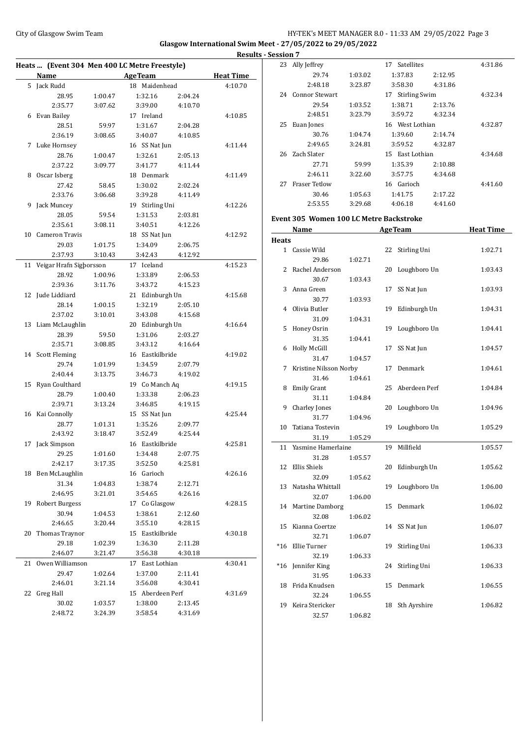#### City of Glasgow Swim Team **HY-TEK's MEET MANAGER 8.0 - 11:33 AM 29/05/2022** Page 3 **Glasgow International Swim Meet - 27/05/2022 to 29/05/2022 Results - Session 7**

|    | Heats  (Event 304 Men 400 LC Metre Freestyle) |                    |                            |                    | <u>kesur</u>     |
|----|-----------------------------------------------|--------------------|----------------------------|--------------------|------------------|
|    | Name                                          |                    | <b>AgeTeam</b>             |                    | <b>Heat Time</b> |
| 5  | Jack Rudd                                     |                    | 18 Maidenhead              |                    | 4:10.70          |
|    | 28.95                                         | 1:00.47            | 1:32.16                    | 2:04.24            |                  |
|    | 2:35.77                                       | 3:07.62            | 3:39.00                    | 4:10.70            |                  |
|    | 6 Evan Bailey                                 |                    | 17 Ireland                 |                    | 4:10.85          |
|    | 28.51                                         | 59.97              | 1:31.67                    | 2:04.28            |                  |
|    | 2:36.19                                       | 3:08.65            | 3:40.07                    | 4:10.85            |                  |
| 7  | Luke Hornsey                                  |                    | 16 SS Nat Jun              |                    | 4:11.44          |
|    | 28.76                                         | 1:00.47            | 1:32.61                    | 2:05.13            |                  |
|    | 2:37.22                                       | 3:09.77            | 3:41.77                    | 4:11.44            |                  |
| 8  | Oscar Isberg                                  |                    | 18 Denmark                 |                    | 4:11.49          |
|    | 27.42                                         | 58.45              | 1:30.02                    | 2:02.24            |                  |
|    | 2:33.76                                       | 3:06.68            | 3:39.28                    | 4:11.49            |                  |
| 9  | Jack Muncey                                   |                    | 19 Stirling Uni            |                    | 4:12.26          |
|    | 28.05                                         | 59.54              | 1:31.53                    | 2:03.81            |                  |
|    | 2:35.61                                       | 3:08.11            | 3:40.51                    | 4:12.26            |                  |
| 10 | <b>Cameron Travis</b>                         |                    | 18 SS Nat Jun              |                    | 4:12.92          |
|    | 29.03                                         | 1:01.75            | 1:34.09                    | 2:06.75            |                  |
|    | 2:37.93                                       | 3:10.43            | 3:42.43                    | 4:12.92            |                  |
|    |                                               |                    | 17 Iceland                 |                    | 4:15.23          |
| 11 | Veigar Hrafn Sigborsson<br>28.92              |                    | 1:33.89                    |                    |                  |
|    | 2:39.36                                       | 1:00.96<br>3:11.76 | 3:43.72                    | 2:06.53<br>4:15.23 |                  |
|    |                                               |                    |                            |                    |                  |
|    | 12 Jude Liddiard<br>28.14                     | 1:00.15            | 21 Edinburgh Un<br>1:32.19 |                    | 4:15.68          |
|    | 2:37.02                                       | 3:10.01            | 3:43.08                    | 2:05.10<br>4:15.68 |                  |
| 13 | Liam McLaughlin                               |                    | 20 Edinburgh Un            |                    | 4:16.64          |
|    | 28.39                                         | 59.50              | 1:31.06                    | 2:03.27            |                  |
|    | 2:35.71                                       | 3:08.85            | 3:43.12                    | 4:16.64            |                  |
|    | 14 Scott Fleming                              |                    | 16 Eastkilbride            |                    | 4:19.02          |
|    | 29.74                                         | 1:01.99            | 1:34.59                    | 2:07.79            |                  |
|    | 2:40.44                                       | 3:13.75            | 3:46.73                    | 4:19.02            |                  |
|    | 15 Ryan Coulthard                             |                    | 19 Co Manch Aq             |                    | 4:19.15          |
|    | 28.79                                         | 1:00.40            | 1:33.38                    | 2:06.23            |                  |
|    | 2:39.71                                       | 3:13.24            | 3:46.85                    | 4:19.15            |                  |
|    | 16 Kai Connolly                               |                    | 15 SS Nat Jun              |                    | 4:25.44          |
|    | 28.77                                         | 1:01.31            | 1:35.26                    | 2:09.77            |                  |
|    | 2:43.92                                       | 3:18.47            | 3:52.49                    | 4:25.44            |                  |
| 17 | Jack Simpson                                  |                    | 16 Eastkilbride            |                    | 4:25.81          |
|    | 29.25                                         | 1:01.60            | 1:34.48                    |                    |                  |
|    | 2:42.17                                       | 3:17.35            | 3:52.50                    | 2:07.75<br>4:25.81 |                  |
|    | 18 Ben McLaughlin                             |                    | 16 Garioch                 |                    | 4:26.16          |
|    | 31.34                                         | 1:04.83            | 1:38.74                    | 2:12.71            |                  |
|    | 2:46.95                                       | 3:21.01            | 3:54.65                    | 4:26.16            |                  |
| 19 | Robert Burgess                                |                    | 17 Co Glasgow              |                    |                  |
|    | 30.94                                         | 1:04.53            | 1:38.61                    | 2:12.60            | 4:28.15          |
|    | 2:46.65                                       | 3:20.44            | 3:55.10                    | 4:28.15            |                  |
| 20 | Thomas Traynor                                |                    | 15 Eastkilbride            |                    | 4:30.18          |
|    | 29.18                                         | 1:02.39            | 1:36.30                    | 2:11.28            |                  |
|    |                                               |                    |                            |                    |                  |
|    | 2:46.07                                       | 3:21.47            | 3:56.38                    | 4:30.18            |                  |
| 21 | Owen Williamson                               |                    | 17 East Lothian            |                    | 4:30.41          |
|    | 29.47                                         | 1:02.64            | 1:37.00                    | 2:11.41            |                  |
|    | 2:46.01                                       | 3:21.14            | 3:56.08                    | 4:30.41            |                  |
| 22 | Greg Hall                                     |                    | 15 Aberdeen Perf           |                    | 4:31.69          |
|    | 30.02                                         | 1:03.57            | 1:38.00                    | 2:13.45            |                  |
|    | 2:48.72                                       | 3:24.39            | 3:58.54                    | 4:31.69            |                  |

| :551011 / |                      |         |                            |         |         |
|-----------|----------------------|---------|----------------------------|---------|---------|
| 23        | Ally Jeffrey         |         | Satellites<br>17           |         | 4:31.86 |
|           | 29.74                | 1:03.02 | 1:37.83                    | 2:12.95 |         |
|           | 2:48.18              | 3:23.87 | 3:58.30                    | 4:31.86 |         |
| 24        | Connor Stewart       |         | <b>Stirling Swim</b><br>17 |         | 4:32.34 |
|           | 29.54                | 1:03.52 | 1:38.71                    | 2:13.76 |         |
|           | 2:48.51              | 3:23.79 | 3:59.72                    | 4:32.34 |         |
| 25        | Euan Jones           |         | 16 West Lothian            | 4:32.87 |         |
|           | 30.76                | 1:04.74 | 1:39.60                    | 2:14.74 |         |
|           | 2:49.65              | 3:24.81 | 3:59.52                    | 4:32.87 |         |
| 26        | Zach Slater          |         | 15 East Lothian            |         | 4:34.68 |
|           | 27.71                | 59.99   | 1:35.39                    | 2:10.88 |         |
|           | 2:46.11              | 3:22.60 | 3:57.75                    | 4:34.68 |         |
| 27        | <b>Fraser Tetlow</b> |         | 16 Garioch                 |         | 4:41.60 |
|           | 30.46                | 1:05.63 | 1:41.75                    | 2:17.22 |         |
|           | 2:53.55              | 3:29.68 | 4:06.18                    | 4:41.60 |         |

# **Event 305 Women 100 LC Metre Backstroke**

|              | Name                   |         |    | <b>AgeTeam</b> | <b>Heat Time</b> |
|--------------|------------------------|---------|----|----------------|------------------|
| <b>Heats</b> |                        |         |    |                |                  |
|              | 1 Cassie Wild          |         | 22 | Stirling Uni   | 1:02.71          |
|              | 29.86                  | 1:02.71 |    |                |                  |
| 2            | Rachel Anderson        |         | 20 | Loughboro Un   | 1:03.43          |
|              | 30.67                  | 1:03.43 |    |                |                  |
| 3            | Anna Green             |         | 17 | SS Nat Jun     | 1:03.93          |
|              | 30.77                  | 1:03.93 |    |                |                  |
| 4            | Olivia Butler          |         | 19 | Edinburgh Un   | 1:04.31          |
|              | 31.09                  | 1:04.31 |    |                |                  |
| 5            | Honey Osrin            |         | 19 | Loughboro Un   | 1:04.41          |
|              | 31.35                  | 1:04.41 |    |                |                  |
| 6            | <b>Holly McGill</b>    |         | 17 | SS Nat Jun     | 1:04.57          |
|              | 31.47                  | 1:04.57 |    |                |                  |
| 7            | Kristine Nilsson Norby |         | 17 | Denmark        | 1:04.61          |
|              | 31.46                  | 1:04.61 |    |                |                  |
| 8            | <b>Emily Grant</b>     |         | 25 | Aberdeen Perf  | 1:04.84          |
|              | 31.11                  | 1:04.84 |    |                |                  |
| 9            | Charley Jones          |         | 20 | Loughboro Un   | 1:04.96          |
|              | 31.77                  | 1:04.96 |    |                |                  |
| 10           | Tatiana Tostevin       |         | 19 | Loughboro Un   | 1:05.29          |
|              | 31.19                  | 1:05.29 |    |                |                  |
| 11           | Yasmine Hamerlaine     |         | 19 | Millfield      | 1:05.57          |
|              | 31.28                  | 1:05.57 |    |                |                  |
| 12           | Ellis Shiels           |         | 20 | Edinburgh Un   | 1:05.62          |
|              | 32.09                  | 1:05.62 |    |                |                  |
| 13           | Natasha Whittall       |         | 19 | Loughboro Un   | 1:06.00          |
|              | 32.07                  | 1:06.00 |    |                |                  |
|              | 14 Martine Damborg     |         | 15 | Denmark        | 1:06.02          |
|              | 32.08                  | 1:06.02 |    |                |                  |
| 15           | Kianna Coertze         |         | 14 | SS Nat Jun     | 1:06.07          |
|              | 32.71                  | 1:06.07 |    |                |                  |
| $*16$        | Ellie Turner           |         | 19 | Stirling Uni   | 1:06.33          |
|              | 32.19                  | 1:06.33 |    |                |                  |
| $*16$        | Jennifer King          |         | 24 | Stirling Uni   | 1:06.33          |
|              | 31.95                  | 1:06.33 |    |                |                  |
| 18           | Frida Knudsen          |         | 15 | Denmark        | 1:06.55          |
|              | 32.24                  | 1:06.55 |    |                |                  |
| 19           | Keira Stericker        |         | 18 | Sth Ayrshire   | 1:06.82          |
|              | 32.57                  | 1:06.82 |    |                |                  |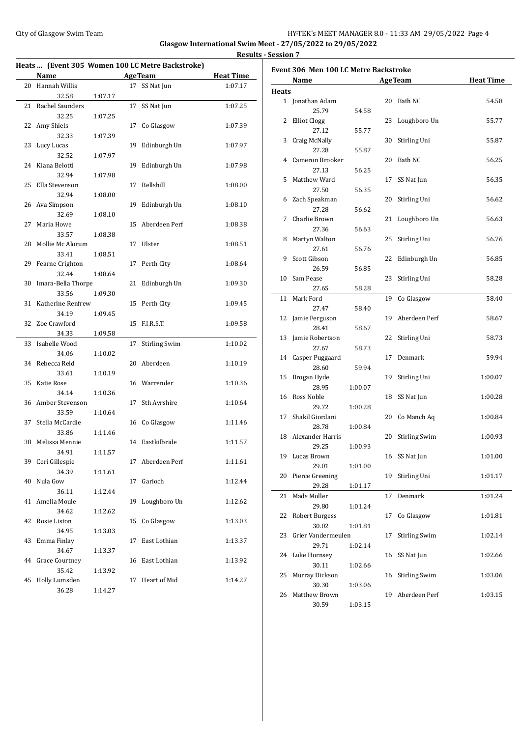#### City of Glasgow Swim Team Team Team Fermi Management City of Glasgow Swim Team Fermi Management City of Glasgow Swim Team Fermi Management City of Glasgow Swim Team Fermi Management City of Glasgow Swim Team Fermi Manageme **Glasgow International Swim Meet - 27/05/2022 to 29/05/2022**

**Results - Session 7**

|    |                       |         |    | Heats  (Event 305 Women 100 LC Metre Backstroke) |                  |
|----|-----------------------|---------|----|--------------------------------------------------|------------------|
|    | Name                  |         |    | <b>AgeTeam</b>                                   | <b>Heat Time</b> |
| 20 | Hannah Willis         |         | 17 | SS Nat Jun                                       | 1:07.17          |
|    | 32.58                 | 1:07.17 |    |                                                  |                  |
| 21 | Rachel Saunders       |         | 17 | SS Nat Jun                                       | 1:07.25          |
|    | 32.25                 | 1:07.25 |    |                                                  |                  |
| 22 | Amy Shiels            |         | 17 | Co Glasgow                                       | 1:07.39          |
|    | 32.33                 | 1:07.39 |    |                                                  |                  |
| 23 | Lucy Lucas            |         | 19 | Edinburgh Un                                     | 1:07.97          |
|    | 32.52                 | 1:07.97 |    |                                                  |                  |
| 24 | Kiana Belotti         |         | 19 | Edinburgh Un                                     | 1:07.98          |
|    | 32.94                 | 1:07.98 |    |                                                  |                  |
| 25 | Ella Stevenson        |         | 17 | Bellshill                                        | 1:08.00          |
|    | 32.94                 | 1:08.00 |    |                                                  |                  |
|    | 26 Ava Simpson        |         | 19 | Edinburgh Un                                     | 1:08.10          |
|    | 32.69                 | 1:08.10 |    |                                                  |                  |
| 27 | Maria Howe            |         | 15 | Aberdeen Perf                                    | 1:08.38          |
|    | 33.57                 | 1:08.38 |    |                                                  |                  |
| 28 | Mollie Mc Alorum      |         | 17 | Ulster                                           | 1:08.51          |
|    | 33.41                 | 1:08.51 |    |                                                  |                  |
| 29 | Fearne Crighton       |         | 17 | Perth City                                       | 1:08.64          |
|    | 32.44                 | 1:08.64 |    |                                                  |                  |
| 30 | Imara-Bella Thorpe    |         | 21 | Edinburgh Un                                     | 1:09.30          |
|    | 33.56                 | 1:09.30 |    |                                                  |                  |
| 31 | Katherine Renfrew     |         | 15 | Perth City                                       | 1:09.45          |
|    | 34.19                 | 1:09.45 |    |                                                  |                  |
| 32 | Zoe Crawford          |         | 15 | F.I.R.S.T.                                       | 1:09.58          |
|    | 34.33                 |         |    |                                                  |                  |
|    | Isabelle Wood         | 1:09.58 |    |                                                  |                  |
| 33 |                       |         | 17 | <b>Stirling Swim</b>                             | 1:10.02          |
|    | 34.06                 | 1:10.02 |    |                                                  |                  |
| 34 | Rebecca Reid          |         | 20 | Aberdeen                                         | 1:10.19          |
|    | 33.61                 | 1:10.19 |    |                                                  |                  |
| 35 | Katie Rose            |         |    | 16 Warrender                                     | 1:10.36          |
|    | 34.14                 | 1:10.36 |    |                                                  |                  |
| 36 | Amber Stevenson       |         | 17 | Sth Ayrshire                                     | 1:10.64          |
|    | 33.59                 | 1:10.64 |    |                                                  |                  |
| 37 | Stella McCardie       |         | 16 | Co Glasgow                                       | 1:11.46          |
|    | 33.86                 | 1:11.46 |    |                                                  |                  |
| 38 | Melissa Mennie        |         | 14 | Eastkilbride                                     | 1:11.57          |
|    | 34.91                 | 1:11.57 |    |                                                  |                  |
|    | 39 Ceri Gillespie     |         | 17 | Aberdeen Perf                                    | 1:11.61          |
|    | 34.39                 | 1:11.61 |    |                                                  |                  |
| 40 | Nula Gow              |         | 17 | Garioch                                          | 1:12.44          |
|    | 36.11                 | 1:12.44 |    |                                                  |                  |
| 41 | Amelia Moule          |         | 19 | Loughboro Un                                     | 1:12.62          |
|    | 34.62                 | 1:12.62 |    |                                                  |                  |
| 42 | Rosie Liston          |         | 15 | Co Glasgow                                       | 1:13.03          |
|    | 34.95                 | 1:13.03 |    |                                                  |                  |
| 43 | Emma Finlay           |         | 17 | East Lothian                                     | 1:13.37          |
|    | 34.67                 | 1:13.37 |    |                                                  |                  |
| 44 | <b>Grace Courtney</b> |         | 16 | East Lothian                                     | 1:13.92          |
|    | 35.42                 | 1:13.92 |    |                                                  |                  |
| 45 | Holly Lumsden         |         | 17 | Heart of Mid                                     | 1:14.27          |
|    | 36.28                 | 1:14.27 |    |                                                  |                  |

| Event 306 Men 100 LC Metre Backstroke |                       |         |    |                      |                  |  |
|---------------------------------------|-----------------------|---------|----|----------------------|------------------|--|
|                                       | Name                  |         |    | <b>AgeTeam</b>       | <b>Heat Time</b> |  |
| <b>Heats</b>                          |                       |         |    |                      |                  |  |
|                                       | 1 Jonathan Adam       |         | 20 | Bath NC              | 54.58            |  |
|                                       | 25.79                 | 54.58   |    |                      |                  |  |
| 2                                     | <b>Elliot Clogg</b>   |         | 23 | Loughboro Un         | 55.77            |  |
|                                       | 27.12                 | 55.77   |    |                      |                  |  |
| 3                                     | Craig McNally         |         | 30 | Stirling Uni         | 55.87            |  |
|                                       | 27.28                 | 55.87   |    |                      |                  |  |
|                                       | 4 Cameron Brooker     |         | 20 | Bath NC              | 56.25            |  |
|                                       | 27.13                 | 56.25   |    |                      |                  |  |
| 5.                                    | Matthew Ward          |         | 17 | SS Nat Jun           | 56.35            |  |
|                                       | 27.50                 | 56.35   |    |                      |                  |  |
| 6                                     | Zach Speakman         |         | 20 | Stirling Uni         | 56.62            |  |
|                                       | 27.28                 | 56.62   |    |                      |                  |  |
| 7                                     | Charlie Brown         |         | 21 | Loughboro Un         | 56.63            |  |
|                                       | 27.36                 | 56.63   |    |                      |                  |  |
| 8                                     | Martyn Walton         |         | 25 | Stirling Uni         | 56.76            |  |
|                                       | 27.61                 | 56.76   |    |                      |                  |  |
| 9                                     | Scott Gibson          |         | 22 | Edinburgh Un         | 56.85            |  |
|                                       | 26.59                 | 56.85   |    |                      |                  |  |
| 10                                    | Sam Pease             |         | 23 | Stirling Uni         | 58.28            |  |
|                                       | 27.65                 | 58.28   |    |                      |                  |  |
| 11                                    | Mark Ford             |         | 19 | Co Glasgow           | 58.40            |  |
|                                       | 27.47                 | 58.40   |    |                      |                  |  |
| 12                                    | Jamie Ferguson        |         | 19 | Aberdeen Perf        | 58.67            |  |
|                                       | 28.41                 | 58.67   |    |                      |                  |  |
|                                       | 13 Jamie Robertson    |         | 22 | Stirling Uni         | 58.73            |  |
|                                       | 27.67                 | 58.73   |    |                      |                  |  |
| 14                                    | Casper Puggaard       |         | 17 | Denmark              | 59.94            |  |
|                                       | 28.60                 | 59.94   |    |                      |                  |  |
| 15                                    | Brogan Hyde           |         | 19 | Stirling Uni         | 1:00.07          |  |
|                                       | 28.95                 | 1:00.07 |    |                      |                  |  |
| 16                                    | Ross Noble            |         | 18 | SS Nat Jun           | 1:00.28          |  |
|                                       | 29.72                 | 1:00.28 |    |                      |                  |  |
| 17                                    | Shakil Giordani       |         |    | 20 Co Manch Aq       | 1:00.84          |  |
|                                       | 28.78                 | 1:00.84 |    |                      |                  |  |
|                                       | 18 Alexander Harris   |         | 20 | Stirling Swim        | 1:00.93          |  |
|                                       | 29.25                 | 1:00.93 |    |                      |                  |  |
|                                       | 19 Lucas Brown        |         |    | 16 SS Nat Jun        | 1:01.00          |  |
|                                       | 29.01                 | 1:01.00 |    |                      |                  |  |
| 20                                    | Pierce Greening       |         | 19 | Stirling Uni         | 1:01.17          |  |
|                                       | 29.28                 | 1:01.17 |    |                      |                  |  |
| 21                                    | Mads Moller           |         | 17 | Denmark              | 1:01.24          |  |
|                                       | 29.80                 | 1:01.24 |    |                      |                  |  |
| 22                                    | <b>Robert Burgess</b> |         | 17 | Co Glasgow           | 1:01.81          |  |
|                                       | 30.02                 | 1:01.81 |    |                      |                  |  |
| 23                                    | Grier Vandermeulen    |         | 17 | <b>Stirling Swim</b> | 1:02.14          |  |
|                                       | 29.71                 | 1:02.14 |    |                      |                  |  |
| 24                                    | Luke Hornsey          |         | 16 | SS Nat Jun           | 1:02.66          |  |
|                                       | 30.11                 | 1:02.66 |    |                      |                  |  |
| 25                                    | Murray Dickson        |         | 16 | <b>Stirling Swim</b> | 1:03.06          |  |
|                                       | 30.30                 | 1:03.06 |    |                      |                  |  |
| 26                                    | Matthew Brown         |         | 19 | Aberdeen Perf        | 1:03.15          |  |
|                                       | 30.59                 | 1:03.15 |    |                      |                  |  |
|                                       |                       |         |    |                      |                  |  |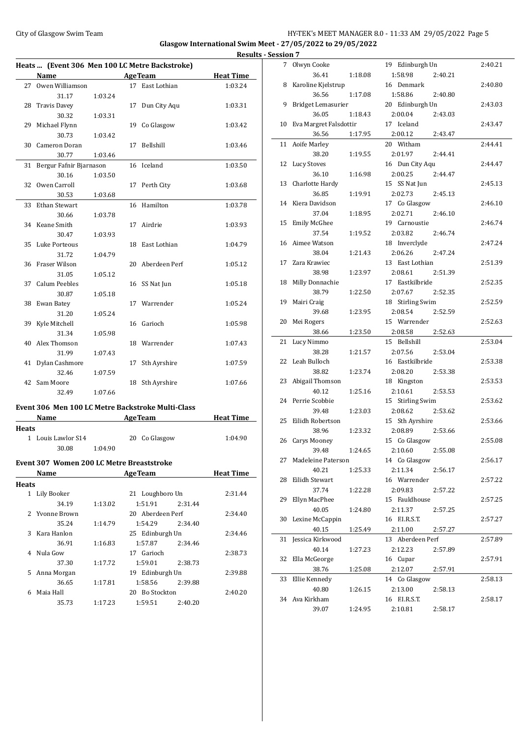# City of Glasgow Swim Team **HY-TEK's MEET MANAGER 8.0 - 11:33 AM 29/05/2022** Page 5

**Glasgow International Swim Meet - 27/05/2022 to 29/05/2022 Results - Session 7**

|              |                                                  |         |    |                                                   | Result           |
|--------------|--------------------------------------------------|---------|----|---------------------------------------------------|------------------|
|              | Heats  (Event 306 Men 100 LC Metre Backstroke)   |         |    |                                                   |                  |
|              | Name                                             |         |    | <b>AgeTeam</b>                                    | <b>Heat Time</b> |
|              | 27 Owen Williamson                               |         |    | 17 East Lothian                                   | 1:03.24          |
|              | 31.17                                            | 1:03.24 |    |                                                   |                  |
| 28           | Travis Davey                                     |         | 17 | Dun City Aqu                                      | 1:03.31          |
|              | 30.32                                            | 1:03.31 |    |                                                   |                  |
| 29           | Michael Flynn                                    |         | 19 | Co Glasgow                                        | 1:03.42          |
|              | 30.73                                            | 1:03.42 |    |                                                   |                  |
| 30           | Cameron Doran                                    |         | 17 | Bellshill                                         | 1:03.46          |
|              | 30.77                                            | 1:03.46 |    |                                                   |                  |
| 31           | Bergur Fafnir Bjarnason                          |         |    | 16 Iceland                                        | 1:03.50          |
|              | 30.16                                            | 1:03.50 |    |                                                   |                  |
| 32           | Owen Carroll                                     |         | 17 | Perth City                                        | 1:03.68          |
|              | 30.53                                            | 1:03.68 |    |                                                   |                  |
| 33           | Ethan Stewart                                    |         | 16 | Hamilton                                          | 1:03.78          |
|              | 30.66                                            | 1:03.78 |    |                                                   |                  |
|              | 34 Keane Smith                                   |         |    | 17 Airdrie                                        | 1:03.93          |
|              | 30.47                                            | 1:03.93 |    |                                                   |                  |
| 35           | Luke Porteous                                    |         |    | 18 East Lothian                                   | 1:04.79          |
|              | 31.72                                            | 1:04.79 |    |                                                   |                  |
|              | 36 Fraser Wilson                                 |         | 20 | Aberdeen Perf                                     | 1:05.12          |
|              | 31.05                                            | 1:05.12 |    |                                                   |                  |
|              | 37 Calum Peebles                                 |         | 16 | SS Nat Jun                                        | 1:05.18          |
|              | 30.87                                            | 1:05.18 |    |                                                   |                  |
|              | 38 Ewan Batey                                    |         |    | 17 Warrender                                      | 1:05.24          |
|              | 31.20                                            | 1:05.24 |    |                                                   |                  |
| 39           | Kyle Mitchell                                    |         |    | 16 Garioch                                        | 1:05.98          |
|              | 31.34                                            | 1:05.98 |    |                                                   |                  |
| 40           | Alex Thomson                                     |         |    | 18 Warrender                                      | 1:07.43          |
|              | 31.99                                            | 1:07.43 |    |                                                   |                  |
| 41           | Dylan Cashmore                                   |         | 17 | Sth Ayrshire                                      | 1:07.59          |
|              | 32.46                                            | 1:07.59 |    |                                                   |                  |
| 42           | Sam Moore                                        |         |    | 18 Sth Ayrshire                                   | 1:07.66          |
|              | 32.49                                            | 1:07.66 |    |                                                   |                  |
|              |                                                  |         |    |                                                   |                  |
|              |                                                  |         |    | Event 306 Men 100 LC Metre Backstroke Multi-Class |                  |
|              | Name                                             |         |    | <b>AgeTeam</b>                                    | <b>Heat Time</b> |
| Heats        |                                                  |         |    |                                                   |                  |
|              | 1 Louis Lawlor S14                               |         |    | 20 Co Glasgow                                     | 1:04.90          |
|              | 30.08                                            | 1:04.90 |    |                                                   |                  |
|              | <b>Event 307 Women 200 LC Metre Breaststroke</b> |         |    |                                                   |                  |
|              | Name                                             |         |    | <b>AgeTeam</b>                                    | <b>Heat Time</b> |
| <b>Heats</b> |                                                  |         |    |                                                   |                  |
|              | 1 Lily Booker                                    |         |    | 21 Loughboro Un                                   | 2:31.44          |
|              | 34.19                                            | 1:13.02 |    | 1:51.91<br>2:31.44                                |                  |
|              | 2 Yvonne Brown                                   |         |    | 20 Aberdeen Perf                                  | 2:34.40          |
|              |                                                  |         |    | 1:54.29                                           |                  |
| 3            | 35.24<br>Kara Hanlon                             | 1:14.79 |    | 2:34.40                                           |                  |
|              |                                                  |         |    | 25 Edinburgh Un                                   | 2:34.46          |
|              | 36.91                                            | 1:16.83 |    | 1:57.87<br>2:34.46                                |                  |
| 4            | Nula Gow                                         |         |    | 17 Garioch                                        | 2:38.73          |
|              | 37.30                                            | 1:17.72 |    | 1:59.01<br>2:38.73                                |                  |
| 5            | Anna Morgan                                      |         |    | 19 Edinburgh Un                                   | 2:39.88          |
|              | 36.65                                            | 1:17.81 |    | 1:58.56<br>2:39.88                                |                  |
| 6            | Maia Hall                                        |         |    | 20 Bo Stockton                                    | 2:40.20          |
|              | 35.73                                            | 1:17.23 |    | 1:59.51<br>2:40.20                                |                  |

| <u>ession</u> |                        |         |                                       |         |
|---------------|------------------------|---------|---------------------------------------|---------|
| 7             | Olwyn Cooke            |         | 19 Edinburgh Un                       | 2:40.21 |
|               | 36.41                  | 1:18.08 | 1:58.98<br>2:40.21                    |         |
| 8             | Karoline Kjelstrup     |         | 16 Denmark                            | 2:40.80 |
|               | 36.56                  | 1:17.08 | 1:58.86<br>2:40.80                    |         |
| 9             | Bridget Lemasurier     |         | 20 Edinburgh Un                       | 2:43.03 |
|               | 36.05                  | 1:18.43 | 2:00.04<br>2:43.03                    |         |
| 10            | Eva Margret Falsdottir |         | 17 Iceland                            | 2:43.47 |
|               | 36.56                  | 1:17.95 | 2:00.12<br>2:43.47                    |         |
| 11            | Aoife Marley           |         | 20 Witham                             | 2:44.41 |
|               | 38.20                  | 1:19.55 | 2:01.97<br>2:44.41                    |         |
| 12            | <b>Lucy Stoves</b>     |         | 16 Dun City Aqu                       | 2:44.47 |
|               | 36.10                  | 1:16.98 | 2:00.25<br>2:44.47                    |         |
| 13            | Charlotte Hardy        |         | 15 SS Nat Jun                         | 2:45.13 |
|               | 36.85                  | 1:19.91 | 2:02.73<br>2:45.13                    |         |
| 14            | Kiera Davidson         |         | 17 Co Glasgow                         | 2:46.10 |
|               | 37.04                  | 1:18.95 | 2:02.71<br>2:46.10                    |         |
| 15            | <b>Emily McGhee</b>    |         | 19 Carnoustie                         | 2:46.74 |
|               | 37.54                  | 1:19.52 | 2:03.82<br>2:46.74                    |         |
|               | 16 Aimee Watson        |         | 18 Inverclyde                         | 2:47.24 |
|               | 38.04                  | 1:21.43 | 2:06.26<br>2:47.24                    |         |
| 17            | Zara Krawiec           |         | 13 East Lothian                       | 2:51.39 |
|               | 38.98                  | 1:23.97 | 2:08.61<br>2:51.39                    |         |
| 18            | Milly Donnachie        |         | 17 Eastkilbride                       | 2:52.35 |
|               | 38.79                  | 1:22.50 | 2:07.67<br>2:52.35                    |         |
| 19            |                        |         | 18 Stirling Swim                      | 2:52.59 |
|               | Mairi Craig            |         |                                       |         |
|               | 39.68                  | 1:23.95 | 2:08.54<br>2:52.59                    |         |
| 20            | Mei Rogers             |         | 15 Warrender                          | 2:52.63 |
|               | 38.66                  | 1:23.50 | 2:08.58<br>2:52.63                    |         |
| 21            | Lucy Nimmo             |         | 15 Bellshill                          | 2:53.04 |
| 22            | 38.28<br>Leah Bulloch  | 1:21.57 | 2:07.56<br>2:53.04<br>16 Eastkilbride |         |
|               | 38.82                  | 1:23.74 | 2:08.20<br>2:53.38                    | 2:53.38 |
| 23            |                        |         |                                       |         |
|               | Abigail Thomson        |         | 18 Kingston                           | 2:53.53 |
|               | 40.12                  | 1:25.16 | 2:10.61<br>2:53.53                    |         |
|               | 24 Perrie Scobbie      |         | 15 Stirling Swim                      | 2:53.62 |
|               | 39.48                  | 1:23.03 | 2:08.62<br>2:53.62                    |         |
| 25            | Eilidh Robertson       |         | 15 Sth Ayrshire                       | 2:53.66 |
|               | 38.96                  | 1:23.32 | 2:08.89<br>2:53.66                    |         |
| 26            | Carys Mooney           |         | 15 Co Glasgow                         | 2:55.08 |
|               | 39.48                  | 1:24.65 | 2:10.60<br>2:55.08                    |         |
| 27            | Madeleine Paterson     |         | 14 Co Glasgow                         | 2:56.17 |
|               | 40.21                  | 1:25.33 | 2:11.34<br>2:56.17                    |         |
| 28            | Eilidh Stewart         |         | 16 Warrender                          | 2:57.22 |
|               | 37.74                  | 1:22.28 | 2:09.83<br>2:57.22                    |         |
| 29            | Ellyn MacPhee          |         | 15 Fauldhouse                         | 2:57.25 |
|               | 40.05                  | 1:24.80 | 2:11.37<br>2:57.25                    |         |
| 30            | Lexine McCappin        |         | 16 F.I.R.S.T.                         | 2:57.27 |
|               | 40.15                  | 1:25.49 | 2:11.00<br>2:57.27                    |         |
| 31            | Jessica Kirkwood       |         | 13 Aberdeen Perf                      | 2:57.89 |
|               | 40.14                  | 1:27.23 | 2:12.23<br>2:57.89                    |         |
| 32            | Ella McGeorge          |         | 16 Cupar                              | 2:57.91 |
|               | 38.76                  | 1:25.08 | 2:12.07<br>2:57.91                    |         |
| 33            | Ellie Kennedy          |         | 14 Co Glasgow                         | 2:58.13 |
|               | 40.80                  | 1:26.15 | 2:13.00<br>2:58.13                    |         |
| 34            | Ava Kirkham            |         | 16 F.I.R.S.T.                         | 2:58.17 |
|               | 39.07                  | 1:24.95 | 2:10.81<br>2:58.17                    |         |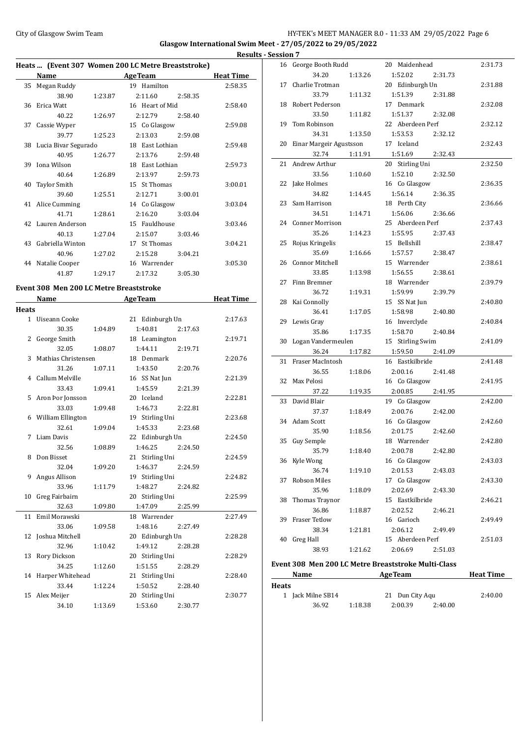### City of Glasgow Swim Team **HY-TEK's MEET MANAGER 8.0 - 11:33 AM 29/05/2022** Page 6 **Glasgow International Swim Meet - 27/05/2022 to 29/05/2022**

#### **Results - Session 7 Heats ... (Event 307 Women 200 LC Metre Breaststroke) Name Age Team Heat Time** 35 Megan Ruddy 19 Hamilton 2:58.35 38.90 1:23.87 2:11.60 2:58.35 36 Erica Watt 16 Heart of Mid 2:58.40 40.22 1:26.97 2:12.79 2:58.40 37 Cassie Wyper 15 Co Glasgow 2:59.08 39.77 1:25.23 2:13.03 2:59.08 38 Lucia Bivar Segurado 18 East Lothian 2:59.48 40.95 1:26.77 2:13.76 2:59.48 39 Iona Wilson 18 East Lothian 2:59.73 40.64 1:26.89 2:13.97 2:59.73 40 Taylor Smith 15 St Thomas 3:00.01 39.60 1:25.51 2:12.71 3:00.01 41 Alice Cumming 14 Co Glasgow 3:03.04 41.71 1:28.61 2:16.20 3:03.04 42 Lauren Anderson 15 Fauldhouse 3:03.46 40.13 1:27.04 2:15.07 3:03.46 43 Gabriella Winton 17 St Thomas 3:04.21 40.96 1:27.02 2:15.28 3:04.21 44 Natalie Cooper 16 Warrender 3:05.30 41.87 1:29.17 2:17.32 3:05.30

#### **Event 308 Men 200 LC Metre Breaststroke**

|              | Name                |         | <b>AgeTeam</b>     | <b>Heat Time</b> |
|--------------|---------------------|---------|--------------------|------------------|
| <b>Heats</b> |                     |         |                    |                  |
|              | 1 Uiseann Cooke     |         | 21 Edinburgh Un    | 2:17.63          |
|              | 30.35               | 1:04.89 | 1:40.81<br>2:17.63 |                  |
| 2            | George Smith        |         | 18 Leamington      | 2:19.71          |
|              | 32.05               | 1:08.07 | 1:44.11<br>2:19.71 |                  |
| 3            | Mathias Christensen |         | 18 Denmark         | 2:20.76          |
|              | 31.26               | 1:07.11 | 1:43.50<br>2:20.76 |                  |
|              | 4 Callum Melville   |         | 16 SS Nat Jun      | 2:21.39          |
|              | 33.43               | 1:09.41 | 1:45.59<br>2:21.39 |                  |
|              | 5 Aron Þor Jonsson  |         | 20 Iceland         | 2:22.81          |
|              | 33.03               | 1:09.48 | 1:46.73<br>2:22.81 |                  |
|              | 6 William Ellington |         | 19 Stirling Uni    | 2:23.68          |
|              | 32.61               | 1:09.04 | 1:45.33<br>2:23.68 |                  |
| 7            | Liam Davis          |         | 22 Edinburgh Un    | 2:24.50          |
|              | 32.56               | 1:08.89 | 1:46.25<br>2:24.50 |                  |
| 8            | Don Bisset          |         | 21 Stirling Uni    | 2:24.59          |
|              | 32.04               | 1:09.20 | 1:46.37<br>2:24.59 |                  |
| 9            | Angus Allison       |         | 19 Stirling Uni    | 2:24.82          |
|              | 33.96               | 1:11.79 | 1:48.27<br>2:24.82 |                  |
| 10           | Greg Fairbairn      |         | 20 Stirling Uni    | 2:25.99          |
|              | 32.63               | 1:09.80 | 1:47.09<br>2:25.99 |                  |
| 11           | Emil Morawski       |         | 18 Warrender       | 2:27.49          |
|              | 33.06               | 1:09.58 | 1:48.16<br>2:27.49 |                  |
|              | 12 Joshua Mitchell  |         | 20 Edinburgh Un    | 2:28.28          |
|              | 32.96               | 1:10.42 | 1:49.12<br>2:28.28 |                  |
| 13           | Rory Dickson        |         | 20 Stirling Uni    | 2:28.29          |
|              | 34.25               | 1:12.60 | 1:51.55<br>2:28.29 |                  |
| 14           | Harper Whitehead    |         | 21 Stirling Uni    | 2:28.40          |
|              | 33.44               | 1:12.24 | 1:50.52<br>2:28.40 |                  |
|              | 15 Alex Meijer      |         | 20 Stirling Uni    | 2:30.77          |
|              | 34.10               | 1:13.69 | 1:53.60<br>2:30.77 |                  |

| 16 | George Booth Rudd       |         | 20 Maidenhead      | 2:31.73 |
|----|-------------------------|---------|--------------------|---------|
|    | 34.20                   | 1:13.26 | 1:52.02<br>2:31.73 |         |
| 17 | Charlie Trotman         |         | 20 Edinburgh Un    | 2:31.88 |
|    | 33.79                   | 1:11.32 | 1:51.39<br>2:31.88 |         |
| 18 | Robert Pederson         |         | 17 Denmark         | 2:32.08 |
|    | 33.50                   | 1:11.82 | 1:51.37<br>2:32.08 |         |
| 19 | Tom Robinson            |         | 22 Aberdeen Perf   | 2:32.12 |
|    | 34.31                   | 1:13.50 | 1:53.53<br>2:32.12 |         |
| 20 | Einar Margeir Agustsson |         | 17 Iceland         | 2:32.43 |
|    | 32.74                   | 1:11.91 | 1:51.69<br>2:32.43 |         |
| 21 | Andrew Arthur           |         | 20 Stirling Uni    | 2:32.50 |
|    | 33.56                   | 1:10.60 | 1:52.10<br>2:32.50 |         |
| 22 | Jake Holmes             |         | 16 Co Glasgow      | 2:36.35 |
|    | 34.82                   | 1:14.45 | 1:56.14<br>2:36.35 |         |
| 23 | Sam Harrison            |         | 18 Perth City      | 2:36.66 |
|    | 34.51                   | 1:14.71 | 1:56.06<br>2:36.66 |         |
| 24 | <b>Conner Morrison</b>  |         | 25 Aberdeen Perf   | 2:37.43 |
|    | 35.26                   | 1:14.23 | 1:55.95<br>2:37.43 |         |
| 25 | Rojus Kringelis         |         | 15 Bellshill       | 2:38.47 |
|    | 35.69                   | 1:16.66 | 1:57.57<br>2:38.47 |         |
| 26 | <b>Connor Mitchell</b>  |         | 15 Warrender       | 2:38.61 |
|    | 33.85                   | 1:13.98 | 1:56.55<br>2:38.61 |         |
| 27 | Finn Bremner            |         | 18 Warrender       | 2:39.79 |
|    | 36.72                   | 1:19.31 | 1:59.99<br>2:39.79 |         |
| 28 | Kai Connolly            |         | 15 SS Nat Jun      | 2:40.80 |
|    | 36.41                   | 1:17.05 | 1:58.98<br>2:40.80 |         |
| 29 | Lewis Gray              |         | 16 Inverclyde      | 2:40.84 |
|    | 35.86                   | 1:17.35 | 1:58.70<br>2:40.84 |         |
| 30 | Logan Vandermeulen      |         | 15 Stirling Swim   | 2:41.09 |
|    | 36.24                   | 1:17.82 | 1:59.50<br>2:41.09 |         |
| 31 | Fraser MacIntosh        |         | 16 Eastkilbride    | 2:41.48 |
|    | 36.55                   | 1:18.06 | 2:00.16<br>2:41.48 |         |
| 32 | Max Pelosi              |         | 16 Co Glasgow      | 2:41.95 |
|    | 37.22                   | 1:19.35 | 2:00.85<br>2:41.95 |         |
| 33 | David Blair             |         | 19 Co Glasgow      | 2:42.00 |
|    | 37.37                   | 1:18.49 | 2:00.76<br>2:42.00 |         |
| 34 | Adam Scott              |         | 16 Co Glasgow      | 2:42.60 |
|    | 35.90                   | 1:18.56 | 2:01.75<br>2:42.60 |         |
| 35 | Guy Semple              |         | 18 Warrender       | 2:42.80 |
|    | 35.79                   | 1:18.40 | 2:00.78<br>2:42.80 |         |
|    | 36 Kyle Wong            |         | 16 Co Glasgow      | 2:43.03 |
|    | 36.74                   | 1:19.10 | 2:01.53<br>2:43.03 |         |
| 37 | Robson Miles            |         | 17 Co Glasgow      | 2:43.30 |
|    | 35.96                   | 1:18.09 | 2:02.69<br>2:43.30 |         |
| 38 | Thomas Traynor          |         | 15 Eastkilbride    | 2:46.21 |
|    | 36.86                   | 1:18.87 | 2:02.52<br>2:46.21 |         |
| 39 | <b>Fraser Tetlow</b>    |         | 16 Garioch         | 2:49.49 |
|    | 38.34                   | 1:21.81 | 2:06.12<br>2:49.49 |         |
| 40 | <b>Greg Hall</b>        |         | 15 Aberdeen Perf   | 2:51.03 |
|    | 38.93                   | 1:21.62 | 2:06.69<br>2:51.03 |         |
|    |                         |         |                    |         |

#### **Event 308 Men 200 LC Metre Breaststroke Multi-Class**

| Name              | <b>AgeTeam</b> |                 |         |         |
|-------------------|----------------|-----------------|---------|---------|
| <b>Heats</b>      |                |                 |         |         |
| 1 Jack Milne SB14 |                | 21 Dun City Agu |         | 2:40.00 |
| 36.92             | 1:18.38        | 2:00.39         | 2:40.00 |         |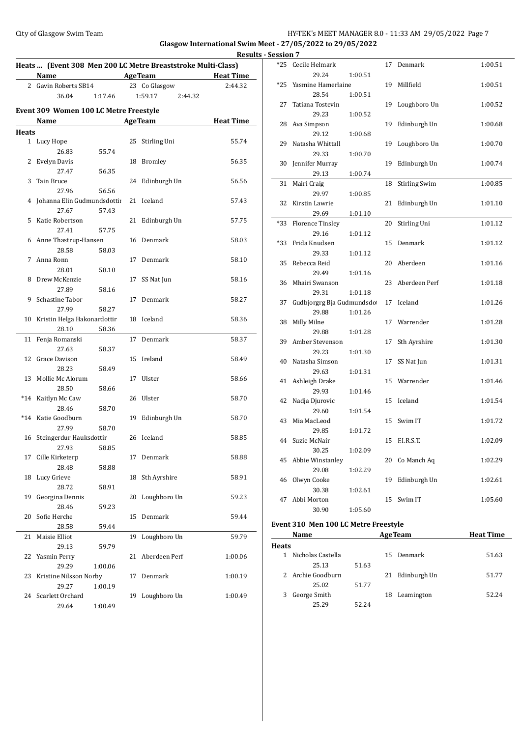## City of Glasgow Swim Team **HY-TEK's MEET MANAGER 8.0 - 11:33 AM 29/05/2022** Page 7

**Glasgow International Swim Meet - 27/05/2022 to 29/05/2022**

|              | Heats  (Event 308 Men 200 LC Metre Breaststroke Multi-Class) |         |    |                    | Resul            |
|--------------|--------------------------------------------------------------|---------|----|--------------------|------------------|
|              | <b>Name</b>                                                  |         |    | <b>AgeTeam</b>     | <b>Heat Time</b> |
|              | 2 Gavin Roberts SB14                                         |         |    | 23 Co Glasgow      | 2:44.32          |
|              | 36.04                                                        | 1:17.46 |    | 1:59.17<br>2:44.32 |                  |
|              |                                                              |         |    |                    |                  |
|              | Event 309 Women 100 LC Metre Freestyle                       |         |    |                    |                  |
|              | Name                                                         |         |    | <b>AgeTeam</b>     | <b>Heat Time</b> |
| <b>Heats</b> |                                                              |         |    |                    |                  |
|              | 1 Lucy Hope                                                  |         | 25 | Stirling Uni       | 55.74            |
|              | 26.83                                                        | 55.74   |    |                    |                  |
| 2            | Evelyn Davis                                                 |         | 18 | <b>Bromley</b>     | 56.35            |
|              | 27.47                                                        | 56.35   |    |                    |                  |
| 3            | Tain Bruce                                                   |         |    | 24 Edinburgh Un    | 56.56            |
|              | 27.96                                                        | 56.56   |    |                    |                  |
| 4            | Johanna Elin Gudmundsdottir                                  |         |    | 21 Iceland         | 57.43            |
|              | 27.67                                                        | 57.43   |    |                    |                  |
| 5            | Katie Robertson                                              |         | 21 | Edinburgh Un       | 57.75            |
|              | 27.41                                                        | 57.75   |    |                    |                  |
|              | 6 Anne Thastrup-Hansen                                       |         |    | 16 Denmark         | 58.03            |
|              | 28.58                                                        | 58.03   |    |                    |                  |
| 7            | Anna Ronn                                                    |         | 17 | Denmark            | 58.10            |
|              | 28.01                                                        | 58.10   |    |                    |                  |
| 8            | Drew McKenzie                                                |         | 17 | SS Nat Jun         | 58.16            |
|              | 27.89                                                        | 58.16   |    |                    |                  |
| 9            | Schastine Tabor                                              |         | 17 | Denmark            | 58.27            |
|              | 27.99                                                        | 58.27   |    |                    |                  |
| 10           | Kristin Helga Hakonardottir                                  |         |    | 18 Iceland         | 58.36            |
|              | 28.10                                                        | 58.36   |    |                    |                  |
| 11           | Fenja Romanski                                               |         | 17 | Denmark            | 58.37            |
|              | 27.63                                                        | 58.37   |    |                    |                  |
| 12           | Grace Davison                                                |         |    | 15 Ireland         | 58.49            |
|              | 28.23                                                        | 58.49   |    |                    |                  |
| 13           | Mollie Mc Alorum                                             |         | 17 | Ulster             | 58.66            |
|              | 28.50                                                        | 58.66   |    |                    |                  |
| $*14$        | Kaitlyn Mc Caw                                               |         | 26 | Ulster             | 58.70            |
|              | 28.46                                                        | 58.70   |    |                    |                  |
|              | *14 Katie Goodburn                                           |         | 19 | Edinburgh Un       | 58.70            |
|              | 27.99                                                        | 58.70   |    |                    |                  |
| 16           | Steingerdur Hauksdottir                                      |         |    | 26 Iceland         | 58.85            |
|              | 27.93                                                        | 58.85   |    |                    |                  |
| 17           | Cille Kirketerp                                              |         | 17 | Denmark            | 58.88            |
|              | 28.48                                                        | 58.88   |    |                    |                  |
| 18           | Lucy Grieve                                                  |         | 18 | Sth Ayrshire       | 58.91            |
|              | 28.72                                                        | 58.91   |    |                    |                  |
| 19           | Georgina Dennis                                              |         | 20 | Loughboro Un       | 59.23            |
|              | 28.46                                                        | 59.23   |    |                    |                  |
| 20           | Sofie Herche                                                 |         | 15 | Denmark            | 59.44            |
|              | 28.58                                                        | 59.44   |    |                    |                  |
| 21           | Maisie Elliot                                                |         | 19 | Loughboro Un       | 59.79            |
|              | 29.13                                                        | 59.79   |    |                    |                  |
| 22           | Yasmin Perry                                                 |         | 21 | Aberdeen Perf      | 1:00.06          |
|              | 29.29                                                        | 1:00.06 |    |                    |                  |
| 23           | Kristine Nilsson Norby                                       |         | 17 | Denmark            | 1:00.19          |
|              | 29.27                                                        | 1:00.19 |    |                    |                  |
| 24           | Scarlett Orchard                                             |         | 19 | Loughboro Un       | 1:00.49          |
|              | 29.64                                                        | 1:00.49 |    |                    |                  |

|   | lts - Session 7 |                                  |         |    |                      |         |
|---|-----------------|----------------------------------|---------|----|----------------------|---------|
|   |                 | *25 Cecile Helmark               |         |    | 17 Denmark           | 1:00.51 |
|   |                 | 29.24                            | 1:00.51 |    |                      |         |
| - | $*25$           | Yasmine Hamerlaine               |         |    | 19 Millfield         | 1:00.51 |
|   |                 | 28.54                            | 1:00.51 |    |                      |         |
|   | 27              | Tatiana Tostevin                 |         | 19 | Loughboro Un         | 1:00.52 |
|   |                 | 29.23                            | 1:00.52 |    |                      |         |
|   |                 | 28 Ava Simpson                   |         | 19 | Edinburgh Un         | 1:00.68 |
|   |                 | 29.12                            | 1:00.68 |    |                      |         |
|   | 29              | Natasha Whittall                 |         | 19 | Loughboro Un         | 1:00.70 |
|   |                 | 29.33                            | 1:00.70 |    |                      |         |
|   | 30              | Jennifer Murray                  |         | 19 | Edinburgh Un         | 1:00.74 |
|   |                 | 29.13                            | 1:00.74 |    |                      |         |
|   | 31              | Mairi Craig                      |         | 18 | <b>Stirling Swim</b> | 1:00.85 |
|   |                 | 29.97                            | 1:00.85 |    |                      |         |
|   | 32              | Kirstin Lawrie                   |         | 21 | Edinburgh Un         | 1:01.10 |
|   |                 | 29.69                            | 1:01.10 |    |                      |         |
|   | *33             |                                  |         | 20 |                      | 1:01.12 |
|   |                 | <b>Florence Tinsley</b><br>29.16 |         |    | Stirling Uni         |         |
|   |                 |                                  | 1:01.12 |    |                      |         |
|   | *33             | Frida Knudsen                    |         | 15 | Denmark              | 1:01.12 |
|   |                 | 29.33                            | 1:01.12 |    |                      |         |
|   | 35              | Rebecca Reid                     |         | 20 | Aberdeen             | 1:01.16 |
|   |                 | 29.49                            | 1:01.16 |    |                      |         |
|   | 36              | Mhairi Swanson                   |         | 23 | Aberdeen Perf        | 1:01.18 |
|   |                 | 29.31                            | 1:01.18 |    |                      |         |
|   | 37              | Gudbjorgrg Bja Gudmundsdo        |         |    | 17 Iceland           | 1:01.26 |
|   |                 | 29.88                            | 1:01.26 |    |                      |         |
|   | 38              | Milly Milne                      |         |    | 17 Warrender         | 1:01.28 |
|   |                 | 29.88                            | 1:01.28 |    |                      |         |
|   | 39              | Amber Stevenson                  |         | 17 | Sth Ayrshire         | 1:01.30 |
|   |                 | 29.23                            | 1:01.30 |    |                      |         |
|   | 40              | Natasha Simson                   |         | 17 | SS Nat Jun           | 1:01.31 |
|   |                 | 29.63                            | 1:01.31 |    |                      |         |
|   | 41              | Ashleigh Drake                   |         |    | 15 Warrender         | 1:01.46 |
|   |                 | 29.93                            | 1:01.46 |    |                      |         |
|   | 42              | Nadja Djurovic                   |         | 15 | Iceland              | 1:01.54 |
|   |                 | 29.60                            | 1:01.54 |    |                      |         |
|   | 43              | Mia MacLeod                      |         |    | 15 Swim IT           | 1:01.72 |
|   |                 | 29.85                            | 1:01.72 |    |                      |         |
|   | 44              | Suzie McNair                     |         |    | 15 F.I.R.S.T.        | 1:02.09 |
|   |                 | 30.25                            | 1:02.09 |    |                      |         |
|   | 45              | Abbie Winstanley                 |         | 20 | Co Manch Aq          | 1:02.29 |
|   |                 | 29.08                            | 1:02.29 |    |                      |         |
|   | 46              | Olwyn Cooke                      |         | 19 | Edinburgh Un         | 1:02.61 |
|   |                 | 30.38                            | 1:02.61 |    |                      |         |
|   | 47              | Abbi Morton                      |         | 15 | Swim IT              | 1:05.60 |
|   |                 | 30.90                            | 1:05.60 |    |                      |         |
|   |                 |                                  |         |    |                      |         |

# **Event 310 Men 100 LC Metre Freestyle**

| EVENT 310 MEN 100 LC METTE FTEESTYIE |       |    |  |                                                            |  |  |  |
|--------------------------------------|-------|----|--|------------------------------------------------------------|--|--|--|
| <b>Name</b>                          |       |    |  | <b>Heat Time</b>                                           |  |  |  |
| <b>Heats</b>                         |       |    |  |                                                            |  |  |  |
| Nicholas Castella                    |       |    |  | 51.63                                                      |  |  |  |
| 25.13                                | 51.63 |    |  |                                                            |  |  |  |
| Archie Goodburn                      |       | 21 |  | 51.77                                                      |  |  |  |
| 25.02                                | 51.77 |    |  |                                                            |  |  |  |
| George Smith                         |       | 18 |  | 52.24                                                      |  |  |  |
| 25.29                                | 52.24 |    |  |                                                            |  |  |  |
|                                      |       |    |  | <b>AgeTeam</b><br>15 Denmark<br>Edinburgh Un<br>Leamington |  |  |  |